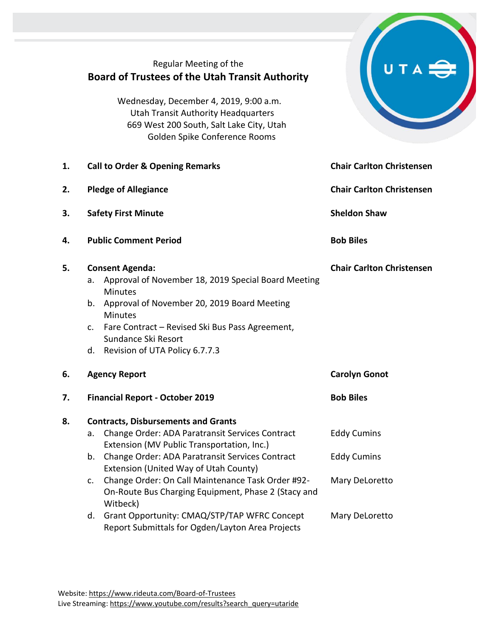|    | Regular Meeting of the<br><b>Board of Trustees of the Utah Transit Authority</b><br>Wednesday, December 4, 2019, 9:00 a.m.<br><b>Utah Transit Authority Headquarters</b><br>669 West 200 South, Salt Lake City, Utah<br>Golden Spike Conference Rooms                                                                                                                             |                                                            |  |
|----|-----------------------------------------------------------------------------------------------------------------------------------------------------------------------------------------------------------------------------------------------------------------------------------------------------------------------------------------------------------------------------------|------------------------------------------------------------|--|
| 1. | <b>Call to Order &amp; Opening Remarks</b>                                                                                                                                                                                                                                                                                                                                        | <b>Chair Carlton Christensen</b>                           |  |
| 2. | <b>Pledge of Allegiance</b>                                                                                                                                                                                                                                                                                                                                                       | <b>Chair Carlton Christensen</b>                           |  |
| 3. | <b>Safety First Minute</b>                                                                                                                                                                                                                                                                                                                                                        | <b>Sheldon Shaw</b>                                        |  |
| 4. | <b>Public Comment Period</b>                                                                                                                                                                                                                                                                                                                                                      | <b>Bob Biles</b>                                           |  |
| 5. | <b>Consent Agenda:</b><br>Approval of November 18, 2019 Special Board Meeting<br>а.<br><b>Minutes</b><br>Approval of November 20, 2019 Board Meeting<br>b.<br><b>Minutes</b><br>Fare Contract – Revised Ski Bus Pass Agreement,<br>C.<br>Sundance Ski Resort<br>Revision of UTA Policy 6.7.7.3<br>d.                                                                              | <b>Chair Carlton Christensen</b>                           |  |
| 6. | <b>Agency Report</b>                                                                                                                                                                                                                                                                                                                                                              | <b>Carolyn Gonot</b>                                       |  |
| 7. | <b>Financial Report - October 2019</b>                                                                                                                                                                                                                                                                                                                                            | <b>Bob Biles</b>                                           |  |
| 8. | <b>Contracts, Disbursements and Grants</b><br>Change Order: ADA Paratransit Services Contract<br>a.<br>Extension (MV Public Transportation, Inc.)<br>Change Order: ADA Paratransit Services Contract<br>b.<br>Extension (United Way of Utah County)<br>Change Order: On Call Maintenance Task Order #92-<br>c.<br>On-Route Bus Charging Equipment, Phase 2 (Stacy and<br>Witbeck) | <b>Eddy Cumins</b><br><b>Eddy Cumins</b><br>Mary DeLoretto |  |
|    | Grant Opportunity: CMAQ/STP/TAP WFRC Concept<br>d.<br>Report Submittals for Ogden/Layton Area Projects                                                                                                                                                                                                                                                                            | Mary DeLoretto                                             |  |